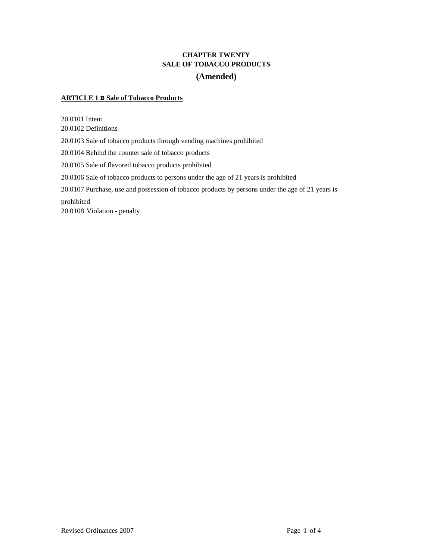# **CHAPTER TWENTY SALE OF TOBACCO PRODUCTS (Amended)**

# **ARTICLE 1 B Sale of Tobacco Products**

20.0101 Intent 20.0102 Definitions 20.0103 Sale of tobacco products through vending machines prohibited 20.0104 Behind the counter sale of tobacco products 20.0105 Sale of flavored tobacco products prohibited 20.0106 Sale of tobacco products to persons under the age of 21 years is prohibited 20.0107 Purchase, use and possession of tobacco products by persons under the age of 21 years is prohibited 20.0108 Violation - penalty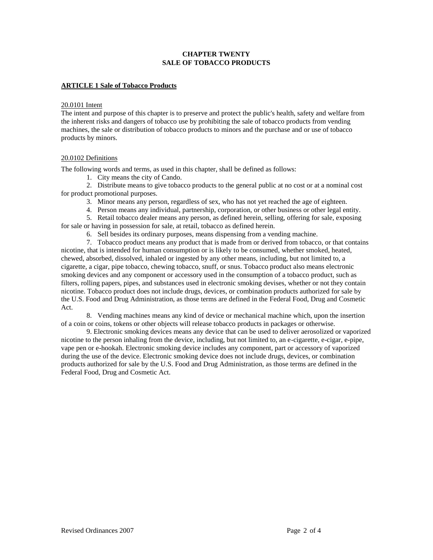# **CHAPTER TWENTY SALE OF TOBACCO PRODUCTS**

## **ARTICLE 1 Sale of Tobacco Products**

#### 20.0101 Intent

The intent and purpose of this chapter is to preserve and protect the public's health, safety and welfare from the inherent risks and dangers of tobacco use by prohibiting the sale of tobacco products from vending machines, the sale or distribution of tobacco products to minors and the purchase and or use of tobacco products by minors.

#### 20.0102 Definitions

The following words and terms, as used in this chapter, shall be defined as follows:

1. City means the city of Cando.

2. Distribute means to give tobacco products to the general public at no cost or at a nominal cost for product promotional purposes.

- 3. Minor means any person, regardless of sex, who has not yet reached the age of eighteen.
- 4. Person means any individual, partnership, corporation, or other business or other legal entity.
- 5. Retail tobacco dealer means any person, as defined herein, selling, offering for sale, exposing

for sale or having in possession for sale, at retail, tobacco as defined herein.

6. Sell besides its ordinary purposes, means dispensing from a vending machine.

7. Tobacco product means any product that is made from or derived from tobacco, or that contains nicotine, that is intended for human consumption or is likely to be consumed, whether smoked, heated, chewed, absorbed, dissolved, inhaled or ingested by any other means, including, but not limited to, a cigarette, a cigar, pipe tobacco, chewing tobacco, snuff, or snus. Tobacco product also means electronic smoking devices and any component or accessory used in the consumption of a tobacco product, such as filters, rolling papers, pipes, and substances used in electronic smoking devises, whether or not they contain nicotine. Tobacco product does not include drugs, devices, or combination products authorized for sale by the U.S. Food and Drug Administration, as those terms are defined in the Federal Food, Drug and Cosmetic Act.

8. Vending machines means any kind of device or mechanical machine which, upon the insertion of a coin or coins, tokens or other objects will release tobacco products in packages or otherwise.

9. Electronic smoking devices means any device that can be used to deliver aerosolized or vaporized nicotine to the person inhaling from the device, including, but not limited to, an e-cigarette, e-cigar, e-pipe, vape pen or e-hookah. Electronic smoking device includes any component, part or accessory of vaporized during the use of the device. Electronic smoking device does not include drugs, devices, or combination products authorized for sale by the U.S. Food and Drug Administration, as those terms are defined in the Federal Food, Drug and Cosmetic Act.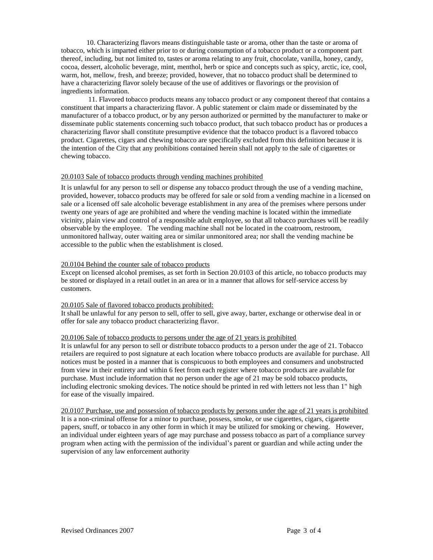10. Characterizing flavors means distinguishable taste or aroma, other than the taste or aroma of tobacco, which is imparted either prior to or during consumption of a tobacco product or a component part thereof, including, but not limited to, tastes or aroma relating to any fruit, chocolate, vanilla, honey, candy, cocoa, dessert, alcoholic beverage, mint, menthol, herb or spice and concepts such as spicy, arctic, ice, cool, warm, hot, mellow, fresh, and breeze; provided, however, that no tobacco product shall be determined to have a characterizing flavor solely because of the use of additives or flavorings or the provision of ingredients information.

11. Flavored tobacco products means any tobacco product or any component thereof that contains a constituent that imparts a characterizing flavor. A public statement or claim made or disseminated by the manufacturer of a tobacco product, or by any person authorized or permitted by the manufacturer to make or disseminate public statements concerning such tobacco product, that such tobacco product has or produces a characterizing flavor shall constitute presumptive evidence that the tobacco product is a flavored tobacco product. Cigarettes, cigars and chewing tobacco are specifically excluded from this definition because it is the intention of the City that any prohibitions contained herein shall not apply to the sale of cigarettes or chewing tobacco.

#### 20.0103 Sale of tobacco products through vending machines prohibited

It is unlawful for any person to sell or dispense any tobacco product through the use of a vending machine, provided, however, tobacco products may be offered for sale or sold from a vending machine in a licensed on sale or a licensed off sale alcoholic beverage establishment in any area of the premises where persons under twenty one years of age are prohibited and where the vending machine is located within the immediate vicinity, plain view and control of a responsible adult employee, so that all tobacco purchases will be readily observable by the employee. The vending machine shall not be located in the coatroom, restroom, unmonitored hallway, outer waiting area or similar unmonitored area; nor shall the vending machine be accessible to the public when the establishment is closed.

#### 20.0104 Behind the counter sale of tobacco products

Except on licensed alcohol premises, as set forth in Section 20.0103 of this article, no tobacco products may be stored or displayed in a retail outlet in an area or in a manner that allows for self-service access by customers.

#### 20.0105 Sale of flavored tobacco products prohibited:

It shall be unlawful for any person to sell, offer to sell, give away, barter, exchange or otherwise deal in or offer for sale any tobacco product characterizing flavor.

### 20.0106 Sale of tobacco products to persons under the age of 21 years is prohibited

It is unlawful for any person to sell or distribute tobacco products to a person under the age of 21. Tobacco retailers are required to post signature at each location where tobacco products are available for purchase. All notices must be posted in a manner that is conspicuous to both employees and consumers and unobstructed from view in their entirety and within 6 feet from each register where tobacco products are available for purchase. Must include information that no person under the age of 21 may be sold tobacco products, including electronic smoking devices. The notice should be printed in red with letters not less than 1" high for ease of the visually impaired.

20.0107 Purchase, use and possession of tobacco products by persons under the age of 21 years is prohibited It is a non-criminal offense for a minor to purchase, possess, smoke, or use cigarettes, cigars, cigarette papers, snuff, or tobacco in any other form in which it may be utilized for smoking or chewing. However, an individual under eighteen years of age may purchase and possess tobacco as part of a compliance survey program when acting with the permission of the individual's parent or guardian and while acting under the supervision of any law enforcement authority